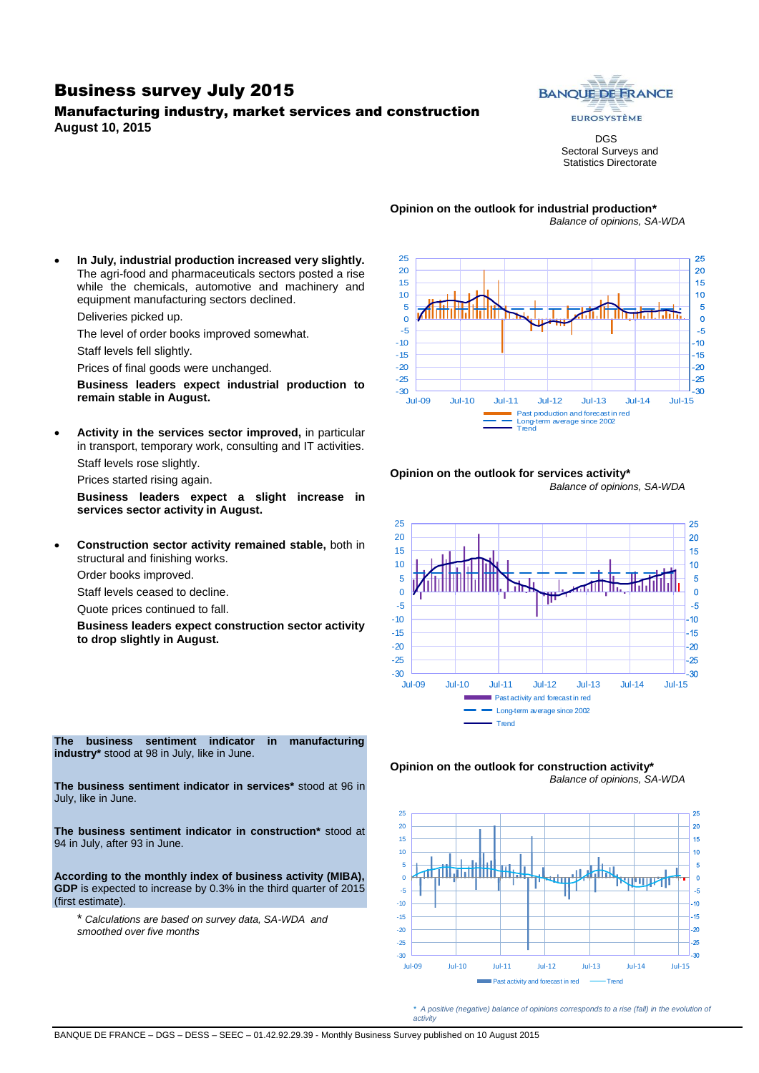#### Business survey July 2015

#### Manufacturing industry, market services and construction **August 10, 2015**



DGS Sectoral Surveys and Statistics Directorate

*Balance of opinions, SA-WDA*

# **Opinion on the outlook for industrial production\***

 **In July, industrial production increased very slightly.**  The agri-food and pharmaceuticals sectors posted a rise while the chemicals, automotive and machinery and equipment manufacturing sectors declined.

Deliveries picked up.

The level of order books improved somewhat.

Staff levels fell slightly.

Prices of final goods were unchanged.

**Business leaders expect industrial production to remain stable in August.**

 **Activity in the services sector improved,** in particular in transport, temporary work, consulting and IT activities. Staff levels rose slightly.

Prices started rising again.

**Business leaders expect a slight increase in services sector activity in August.**

 **Construction sector activity remained stable,** both in structural and finishing works.

Order books improved.

Staff levels ceased to decline.

Quote prices continued to fall.

**Business leaders expect construction sector activity to drop slightly in August.**



#### **Opinion on the outlook for services activity\*** *Balance of opinions, SA-WDA*







*\* A positive (negative) balance of opinions corresponds to a rise (fall) in the evolution of activity*

**The business sentiment indicator in manufacturing industry\*** stood at 98 in July, like in June.

**The business sentiment indicator in services\*** stood at 96 in July, like in June.

**The business sentiment indicator in construction\*** stood at 94 in July, after 93 in June.

**According to the monthly index of business activity (MIBA), GDP** is expected to increase by 0.3% in the third quarter of 2015 (first estimate).

\* *Calculations are based on survey data, SA-WDA and smoothed over five months*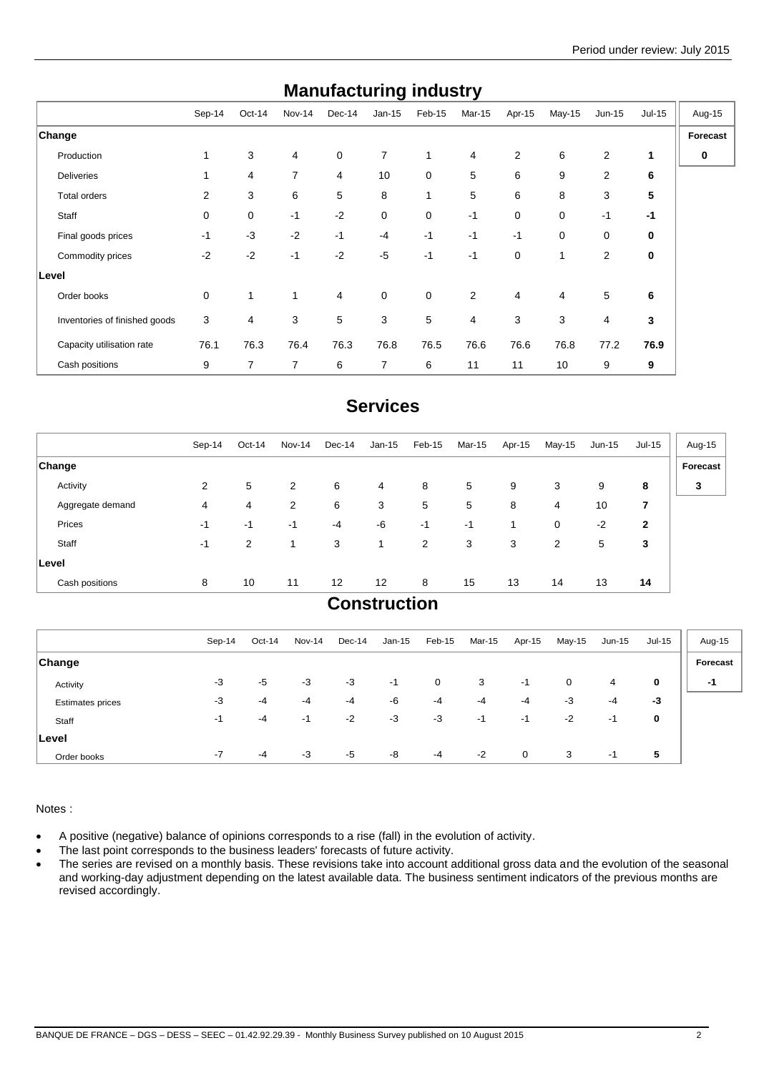| manuracturniy muusti y        |        |        |              |        |                |        |        |        |        |                |          |          |
|-------------------------------|--------|--------|--------------|--------|----------------|--------|--------|--------|--------|----------------|----------|----------|
|                               | Sep-14 | Oct-14 | Nov-14       | Dec-14 | $Jan-15$       | Feb-15 | Mar-15 | Apr-15 | May-15 | $Jun-15$       | $Jul-15$ | Aug-15   |
| Change                        |        |        |              |        |                |        |        |        |        |                |          | Forecast |
| Production                    | 1      | 3      | 4            | 0      | $\overline{7}$ | 1      | 4      | 2      | 6      | 2              | 1        | 0        |
| <b>Deliveries</b>             |        | 4      | 7            | 4      | 10             | 0      | 5      | 6      | 9      | $\overline{2}$ | 6        |          |
| Total orders                  | 2      | 3      | 6            | 5      | 8              | 1      | 5      | 6      | 8      | 3              | 5        |          |
| Staff                         | 0      | 0      | $-1$         | $-2$   | 0              | 0      | $-1$   | 0      | 0      | $-1$           | $-1$     |          |
| Final goods prices            | $-1$   | $-3$   | $-2$         | $-1$   | $-4$           | $-1$   | $-1$   | $-1$   | 0      | 0              | 0        |          |
| Commodity prices              | $-2$   | $-2$   | $-1$         | $-2$   | $-5$           | $-1$   | $-1$   | 0      | 1      | 2              | 0        |          |
| Level                         |        |        |              |        |                |        |        |        |        |                |          |          |
| Order books                   | 0      | 1      | $\mathbf{1}$ | 4      | $\mathbf 0$    | 0      | 2      | 4      | 4      | 5              | 6        |          |
| Inventories of finished goods | 3      | 4      | 3            | 5      | 3              | 5      | 4      | 3      | 3      | 4              | 3        |          |
| Capacity utilisation rate     | 76.1   | 76.3   | 76.4         | 76.3   | 76.8           | 76.5   | 76.6   | 76.6   | 76.8   | 77.2           | 76.9     |          |
| Cash positions                | 9      | 7      | 7            | 6      | 7              | 6      | 11     | 11     | 10     | 9              | 9        |          |

## **Manufacturing industry**

## **Services**

|                  | Sep-14         | Oct-14 | Nov-14         | Dec-14 | Jan-15                | Feb-15 | Mar-15 | Apr-15 | May-15 | Jun-15 | <b>Jul-15</b>  | Aug-15   |
|------------------|----------------|--------|----------------|--------|-----------------------|--------|--------|--------|--------|--------|----------------|----------|
| <b>Change</b>    |                |        |                |        |                       |        |        |        |        |        |                | Forecast |
| Activity         | $\overline{2}$ | 5      | 2              | 6      | $\overline{4}$        | 8      | 5      | 9      | 3      | 9      | 8              | 3        |
| Aggregate demand | 4              | 4      | $\overline{2}$ | 6      | 3                     | 5      | 5      | 8      | 4      | 10     | 7              |          |
| Prices           | -1             | $-1$   | -1             | $-4$   | -6                    | $-1$   | $-1$   | 1      | 0      | $-2$   | $\overline{2}$ |          |
| Staff            | -1             | 2      | 1              | 3      | 1                     | 2      | 3      | 3      | 2      | 5      | 3              |          |
| Level            |                |        |                |        |                       |        |        |        |        |        |                |          |
| Cash positions   | 8              | 10     | 11             | 12     | 12                    | 8      | 15     | 13     | 14     | 13     | 14             |          |
|                  |                |        |                |        | $P$ and also call and |        |        |        |        |        |                |          |

#### **Construction**

|                  | Sep-14 | Oct-14 | Nov-14 | Dec-14 | Jan-15 | Feb-15 | Mar-15 | Apr-15 | May-15 | $Jun-15$ | Jul-15 | Aug-15   |
|------------------|--------|--------|--------|--------|--------|--------|--------|--------|--------|----------|--------|----------|
| ∣Change          |        |        |        |        |        |        |        |        |        |          |        | Forecast |
| Activity         | $-3$   | -5     | $-3$   | $-3$   | -1     | 0      | 3      | $-1$   | 0      | 4        | 0      | -1       |
| Estimates prices | -3     | $-4$   | -4     | $-4$   | -6     | -4     | $-4$   | $-4$   | -3     | $-4$     | $-3$   |          |
| Staff            | -1     | -4     | -1     | $-2$   | $-3$   | -3     | -1     | -1     | $-2$   | -1       | 0      |          |
| ∣Level           |        |        |        |        |        |        |        |        |        |          |        |          |
| Order books      | $-7$   | $-4$   | $-3$   | $-5$   | -8     | -4     | $-2$   | 0      | 3      | -1       | 5      |          |

Notes :

- A positive (negative) balance of opinions corresponds to a rise (fall) in the evolution of activity.
- The last point corresponds to the business leaders' forecasts of future activity.
- The series are revised on a monthly basis. These revisions take into account additional gross data and the evolution of the seasonal and working-day adjustment depending on the latest available data. The business sentiment indicators of the previous months are revised accordingly.